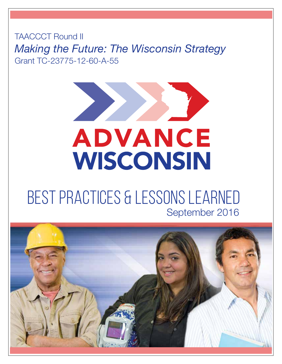TAACCCT Round II *Making the Future: The Wisconsin Strategy* Grant TC-23775-12-60-A-55



## BEST PRACTICES & LESSONS LEARNED September 2016

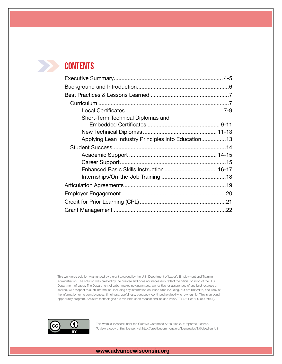### **Contents**

| Applying Lean Industry Principles into Education13 |
|----------------------------------------------------|
|                                                    |
|                                                    |
|                                                    |
|                                                    |
|                                                    |
|                                                    |
|                                                    |
|                                                    |
|                                                    |
|                                                    |

This workforce solution was funded by a grant awarded by the U.S. Department of Labor's Employment and Training Administration. The solution was created by the grantee and does not necessarily reflect the official position of the U.S. Department of Labor. The Department of Labor makes no guarantees, warranties, or assurances of any kind, express or implied, with respect to such information, including any information on linked sites including, but not limited to, accuracy of the information or its completeness, timeliness, usefulness, adequacy, continued availability, or ownership. This is an equal opportunity program. Assistive technologies are available upon request and include Voice/TTY (711 or 800-947-6644).



This work is licensed under the Creative Commons Attribution 3.0 Unported License. To view a copy of this license, visit http://creativecommons.org/licenses/by/3.0/deed.en\_US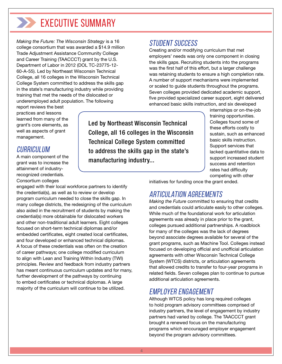## EXECUTIVE SUMMARY

*Making the Future: The Wisconsin Strategy* is a 16 college consortium that was awarded a \$14.9 million Trade Adjustment Assistance Community College and Career Training (TAACCCT) grant by the U.S. Department of Labor in 2012 (DOL TC-23775-12- 60-A-55). Led by Northeast Wisconsin Technical College, all 16 colleges in the Wisconsin Technical College System committed to address the skills gap in the state's manufacturing industry while providing training that met the needs of the dislocated or underemployed adult population. The following

#### Student Success

Creating and/or modifying curriculum that met employers' needs was only one component in closing the skills gaps. Recruiting students into the programs was the first half of this effort, but a larger challenge was retaining students to ensure a high completion rate. A number of support mechanisms were implemented or scaled to guide students throughout the programs. Seven colleges provided dedicated academic support, five provided specialized career support, eight delivered enhanced basic skills instruction, and six developed

report reviews the best practices and lessons learned from many of the grant's core elements, as well as aspects of grant management.

#### Curricul UM

A main component of the grant was to increase the attainment of industryrecognized credentials. Consortium colleges

engaged with their local workforce partners to identify the credential(s), as well as to review or develop program curriculum needed to close the skills gap. In many college districts, the redesigning of the curriculum also aided in the recruitment of students by making the credential(s) more obtainable for dislocated workers and other non-traditional adult learners. Eight colleges focused on short-term technical diplomas and/or embedded certificates, eight created local certificates, and four developed or enhanced technical diplomas. A focus of these credentials was often on the creation of career pathways; one college modified curriculum to align with Lean and Training Within Industry (TWI) principles. Review and feedback from industry partners has meant continuous curriculum updates and for many, further development of the pathways by continuing to embed certificates or technical diplomas. A large majority of the curriculum will continue to be utilized.

Led by Northeast Wisconsin Technical College, all 16 colleges in the Wisconsin Technical College System committed to address the skills gap in the state's manufacturing industry...

internships or on-the-job training opportunities. Colleges found some of these efforts costly to sustain, such as enhanced basic skills instruction. Support services that lacked quantitative data to support increased student success and retention rates had difficulty competing with other

initiatives for funding once the grant ended.

### Articulation Agreements

*Making the Future* committed to ensuring that credits and credentials could articulate easily to other colleges. While much of the foundational work for articulation agreements was already in place prior to the grant, colleges pursued additional partnerships. A roadblock for many of the colleges was the lack of degrees beyond associate degrees available for several of the grant programs, such as Machine Tool. Colleges instead focused on developing official and unofficial articulation agreements with other Wisconsin Technical College System (WTCS) districts, or articulation agreements that allowed credits to transfer to four-year programs in related fields. Seven colleges plan to continue to pursue additional articulation agreements.

#### Employer Engagement

Although WTCS policy has long required colleges to hold program advisory committees comprised of industry partners, the level of engagement by industry partners had varied by college. The TAACCCT grant brought a renewed focus on the manufacturing programs which encouraged employer engagement beyond the program advisory committees.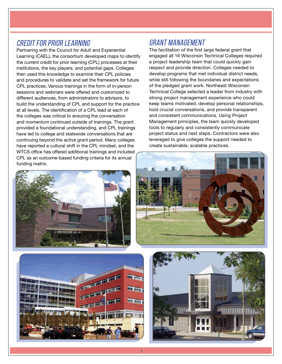#### Credit for Prior Learning

Partnering with the Council for Adult and Experiential Learning (CAEL), the consortium developed maps to identify the current credit for prior learning (CPL) processes at their institutions, the key players, and potential gaps. Colleges then used this knowledge to examine their CPL policies and procedures to validate and set the framework for future CPL practices. Various trainings in the form of in-person sessions and webinars were offered and customized to different audiences, from administrators to advisors, to build the understanding of CPL and support for the practice at all levels. The identification of a CPL lead at each of the colleges was critical to ensuring the conversation and momentum continued outside of trainings. The grant provided a foundational understanding, and CPL trainings have led to college and statewide conversations that are continuing beyond the active grant period. Many colleges have reported a cultural shift in the CPL mindset, and the WTCS office has offered additional trainings and included CPL as an outcome-based funding criteria for its annual funding matrix.



#### Grant Management

The facilitation of the first large federal grant that engaged all 16 Wisconsin Technical Colleges required a project leadership team that could quickly gain respect and provide direction. Colleges needed to develop programs that met individual district needs, while still following the boundaries and expectations of the pledged grant work. Northeast Wisconsin Technical College selected a leader from industry with strong project management experience who could keep teams motivated, develop personal relationships, hold crucial conversations, and provide transparent and consistent communications. Using Project Management principles, the team quickly developed tools to regularly and consistently communicate project status and next steps. Contractors were also leveraged to give colleges the support needed to create sustainable, scalable practices.





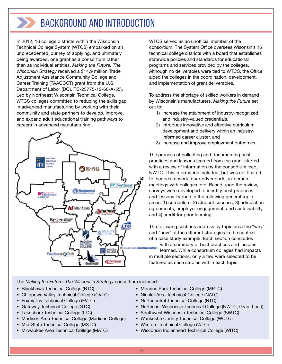## Background and Introduction

In 2012, 16 college districts within the Wisconsin Technical College System (WTCS) embarked on an unprecedented journey of applying, and ultimately being awarded, one grant as a consortium rather than as individual entities. *Making the Future: The Wisconsin Strategy* received a \$14.9 million Trade Adjustment Assistance Community College and Career Training (TAACCCT) grant from the U.S. Department of Labor (DOL TC-23775-12-60-A-55). Led by Northeast Wisconsin Technical College, WTCS colleges committed to reducing the skills gap in advanced manufacturing by working with their community and state partners to develop, improve, and expand adult educational training pathways to careers in advanced manufacturing.



WTCS served as an unofficial member of the consortium. The System Office oversees Wisonsin's 16 technical college districts with a board that establishes statewide policies and standards for educational programs and services provided by the colleges. Although no deliverables were tied to WTCS, the Office aided the colleges in the coordination, development, and implementation of grant deliverables.

To address the shortage of skilled workers in demand by Wisconsin's manufacturers, *Making the Future* set out to:

- 1) increase the attainment of industry-recognized and industry-valued credentials,
- 2) introduce innovative and effective curriculum development and delivery within an industryinformed career cluster, and
- 3) increase and improve employment outcomes.

The process of collecting and documenting best practices and lessons learned from the grant started with a review of information by the consortium lead, NWTC. This information included, but was not limited to, scopes of work, quarterly reports, in-person meetings with colleges, etc. Based upon the review, surveys were developed to identify best practices and lessons learned in the following general topic areas: 1) curriculum, 2) student success, 3) articulation agreements, employer engagement, and sustainability, and 4) credit for prior learning.

The following sections address by topic area the "why" and "how" of the different strategies in the context of a case study example. Each section concludes with a summary of best practices and lessons learned. While consortium colleges had impacts in multiple sections, only a few were selected to be featured as case studies within each topic.

The *Making the Future: The Wisconsin Strategy* consortium included:

- Blackhawk Technical College (BTC)
- Chippewa Valley Technical College (CVTC)
- Fox Valley Technical College (FVTC)
- Gateway Technical College (GTC)
- Lakeshore Technical College (LTC)
- Madison Area Technical College (Madison College)
- Mid-State Technical College (MSTC)
- Milwaukee Area Technical College (MATC)
- Moraine Park Technical College (MPTC)
- Nicolet Area Technical College (NATC)
- Northcentral Technical College (NTC)
- Northeast Wisconsin Technical College (NWTC; Grant Lead)
- Southwest Wisconsin Technical College (SWTC)
- Waukesha County Technical College (WCTC)
- Western Technical College (WTC)
- Wisconsin Indianhead Technical College (WITC)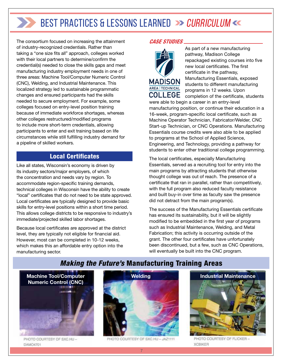The consortium focused on increasing the attainment of industry-recognized credentials. Rather than taking a "one size fits all" approach, colleges worked with their local partners to determine/confirm the credential(s) needed to close the skills gaps and meet manufacturing industry employment needs in one of three areas: Machine Tool/Computer Numeric Control (CNC), Welding, and Industrial Maintenance. This localized strategy led to sustainable programmatic changes and ensured participants had the skills needed to secure employment. For example, some colleges focused on entry-level position training because of immediate workforce shortages, whereas other colleges restructured/modified programs to include more short-term credentials, allowing participants to enter and exit training based on life circumstances while still fulfilling industry demand for a pipeline of skilled workers.

#### Local Certificates

Like all states, Wisconsin's economy is driven by its industry sectors/major employers, of which the concentration and needs vary by region. To accommodate region-specific training demands, technical colleges in Wisconsin have the ability to create "local" certificates that do not need to be state approved. Local certificates are typically designed to provide basic skills for entry-level positions within a short time period. This allows college districts to be responsive to industry's immediate/projected skilled labor shortages.

Because local certificates are approved at the district level, they are typically not eligible for financial aid. However, most can be completed in 10-12 weeks, which makes this an affordable entry option into the manufacturing sector.

#### *CASE STUDIES*



As part of a new manufacturing pathway, Madison College repackaged existing courses into five new local certificates. The first certificate in the pathway, Manufacturing Essentials, exposed students to different manufacturing programs in 12 weeks. Upon completion of the certificate, students were able to begin a career in an entry-level

manufacturing position, or continue their education in a 16-week, program-specific local certificate, such as Machine Operator Technician, Fabricator/Welder, CNC Start-up Technician, or CNC Operations. Manufacturing Essentials course credits were also able to be applied to programs at the School of Applied Science, Engineering, and Technology, providing a pathway for students to enter other traditional college programming.

The local certificates, especially Manufacturing Essentials, served as a recruiting tool for entry into the main programs by attracting students that otherwise thought college was out of reach. The presence of a certificate that ran in parallel, rather than competitively, with the full program also reduced faculty resistance and built buy-in over time as faculty saw the presence did not detract from the main program(s).

The success of the Manufacturing Essentials certificate has ensured its sustainability, but it will be slightly modified to be embedded in the first year of programs such as Industrial Maintenance, Welding, and Metal Fabrication; this activity is occurring outside of the grant. The other four certificates have unfortunately been discontinued, but a few, such as CNC Operations, will eventually be built into the CNC program.

#### *Making the Future's* Manufacturing Training Areas



PHOTO COURTESY OF SXC.HU-DAMO4701



PHOTO COURTESY OF SXC.HU - JAZ1111



PHOTO COURTESY OF FLICKER -**XCRIKER**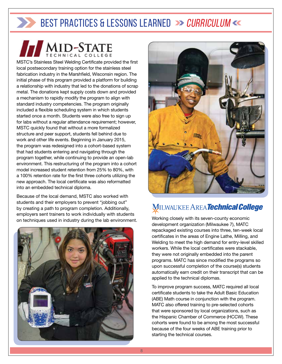MID-STATE MSTC's Stainless Steel Welding Certificate provided the first local postsecondary training option for the stainless steel fabrication industry in the Marshfield, Wisconsin region. The initial phase of this program provided a platform for building a relationship with industry that led to the donations of scrap metal. The donations kept supply costs down and provided a mechanism to rapidly modify the program to align with standard industry competencies. The program originally included a flexible scheduling system in which students started once a month. Students were also free to sign up for labs without a regular attendance requirement; however, MSTC quickly found that without a more formalized structure and peer support, students fell behind due to work and other life events. Beginning in January 2015, the program was redesigned into a cohort-based system that had students entering and navigating through the program together, while continuing to provide an open-lab environment. This restructuring of the program into a cohort model increased student retention from 25% to 80%, with a 100% retention rate for the first three cohorts utilizing the new approach. The local certificate was also reformatted into an embedded technical diploma.

Because of the local demand, MSTC also worked with students and their employers to prevent "jobbing out" by creating a path to program completion. Additionally, employers sent trainers to work individually with students on techniques used in industry during the lab environment. Working closely with its seven-county economic on techniques used in industry during the lab environment.





### **MILWAUKEE AREA Technical College**

development organization (Milwaukee 7), MATC repackaged existing courses into three, ten-week local certificates in the areas of Engine Lathe, Milling, and Welding to meet the high demand for entry-level skilled workers. While the local certificates were stackable, they were not originally embedded into the parent programs. MATC has since modified the programs so upon successful completion of the course(s) students automatically earn credit on their transcript that can be applied to the technical diplomas.

To improve program success, MATC required all local certificate students to take the Adult Basic Education (ABE) Math course in conjunction with the program. MATC also offered training to pre-selected cohorts that were sponsored by local organizations, such as the Hispanic Chamber of Commerce (HCCW). These cohorts were found to be among the most successful because of the four weeks of ABE training prior to starting the technical courses.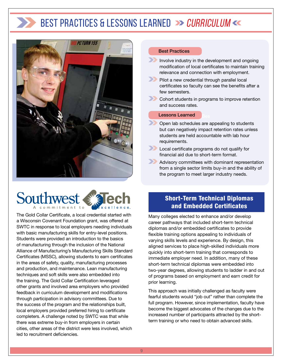

## Southwest

The Gold Collar Certificate, a local credential started with a Wisconsin Covenant Foundation grant, was offered at SWTC in response to local employers needing individuals with basic manufacturing skills for entry-level positions. Students were provided an introduction to the basics of manufacturing through the inclusion of the National Alliance of Manufacturing's Manufacturing Skills Standard Certificates (MSSC), allowing students to earn certificates in the areas of safety, quality, manufacturing processes and production, and maintenance. Lean manufacturing techniques and soft skills were also embedded into the training. The Gold Collar Certification leveraged other grants and involved area employers who provided feedback in curriculum development and modifications through participation in advisory committees. Due to the success of the program and the relationships built, local employers provided preferred hiring to certificate completers. A challenge noted by SWTC was that while there was extreme buy-in from employers in certain cities, other areas of the district were less involved, which led to recruitment deficiencies.

#### Best Practices

- Involve industry in the development and ongoing modification of local certificates to maintain training relevance and connection with employment.
- Pilot a new credential through parallel local certificates so faculty can see the benefits after a few semesters.
- **Cohort students in programs to improve retention** and success rates.

#### **Lessons Learned**

- Open lab schedules are appealing to students but can negatively impact retention rates unless students are held accountable with lab hour requirements.
- **Local certificate programs do not qualify for** financial aid due to short-term format.
- Advisory committees with dominant representation from a single sector limits buy-in and the ability of the program to meet larger industry needs.

#### Short-Term Technical Diplomas and Embedded Certificates

Many colleges elected to enhance and/or develop career pathways that included short-term technical diplomas and/or embedded certificates to provide flexible training options appealing to individuals of varying skills levels and experience. By design, this aligned services to place high-skilled individuals more quickly into short-term training that corresponds to immediate employer need. In addition, many of these short-term technical diplomas were embedded into two-year degrees, allowing students to ladder in and out of programs based on employment and earn credit for prior learning.

This approach was initially challenged as faculty were fearful students would "job out" rather than complete the full program. However, since implementation, faculty have become the biggest advocates of the changes due to the increased number of participants attracted by the shortterm training or who need to obtain advanced skills.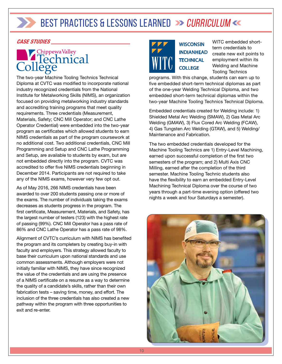#### *CASE STUDIES*

## College College

The two-year Machine Tooling Technics Technical Diploma at CVTC was modified to incorporate national industry recognized credentials from the National Institute for Metalworking Skills (NIMS), an organization focused on providing metalworking industry standards and accrediting training programs that meet quality requirements. Three credentials (Measurement, Materials, Safety; CNC Mill Operator; and CNC Lathe Operator Credential) were embedded into the two-year program as certificates which allowed students to earn NIMS credentials as part of the program coursework at no additional cost. Two additional credentials, CNC Mill Programming and Setup and CNC Lathe Programming and Setup, are available to students by exam, but are not embedded directly into the program. CVTC was accredited to offer five NIMS credentials beginning in December 2014. Participants are not required to take any of the NIMS exams, however very few opt out.

As of May 2016, 266 NIMS credentials have been awarded to over 200 students passing one or more of the exams. The number of individuals taking the exams decreases as students progress in the program. The first certificate, Measurement, Materials, and Safety, has the largest number of testers (123) with the highest rate of passing (99%). CNC Mill Operator has a pass rate of 86% and CNC Lathe Operator has a pass rate of 98%.

Alignment of CVTC's curriculum with NIMS has benefited the program and its completers by creating buy-in with faculty and employers. This strategy allowed faculty to base their curriculum upon national standards and use common assessments. Although employers were not initially familiar with NIMS, they have since recognized the value of the credentials and are using the presence of a NIMS certificate on a resume as a way to determine the quality of a candidate's skills, rather than their own fabrication tests – saving time, money, and effort. The inclusion of the three credentials has also created a new pathway within the program with three opportunities to exit and re-enter.



**WISCONSIN INDIANHEAD TECHNICAL COLLEGE** 

WITC embedded shortterm credentials to create new exit points to employment within its Welding and Machine Tooling Technics

programs. With this change, students can earn up to five embedded short-term technical diplomas as part of the one-year Welding Technical Diploma, and two embedded short-term technical diplomas within the two-year Machine Tooling Technics Technical Diploma.

Embedded credentials created for Welding include: 1) Shielded Metal Arc Welding (SMAW), 2) Gas Metal Arc Welding (GMAW), 3) Flux Cored Arc Welding (FCAW), 4) Gas Tungsten Arc Welding (GTAW), and 5) Welding/ Maintenance and Fabrication.

The two embedded credentials developed for the Machine Tooling Technics are 1) Entry-Level Machining, earned upon successful completion of the first two semesters of the program; and 2) Multi Axis CNC Milling, earned after the completion of the third semester. Machine Tooling Technic students also have the flexibility to earn an embedded Entry-Level Machining Technical Diploma over the course of two years through a part-time evening option (offered two nights a week and four Saturdays a semester).

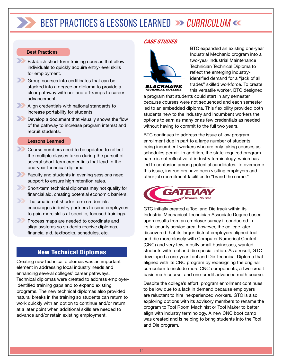#### Best Practices

- **Establish short-term training courses that allow** individuals to quickly acquire entry-level skills for employment.
- Group courses into certificates that can be stacked into a degree or diploma to provide a clear pathway with on- and off-ramps to career advancement.
- Align credentials with national standards to increase portability for students.
- **Develop a document that visually shows the flow** of the pathway to increase program interest and recruit students.

#### Lessons Learned

- **Course numbers need to be updated to reflect** the multiple classes taken during the pursuit of several short-term credentials that lead to the one-year technical diploma.
- **Faculty and students in evening sessions need** support to ensure high retention rates.
- Short-term technical diplomas may not qualify for financial aid, creating potential economic barriers.
- The creation of shorter term credentials encourages industry partners to send employees to gain more skills at specific, focused trainings.
	- Process maps are needed to coordinate and align systems so students receive diplomas, financial aid, textbooks, schedules, etc.

#### New Technical Diplomas

Creating new technical diplomas was an important element in addressing local industry needs and enhancing several colleges' career pathways. Technical diplomas were created to address employeridentified training gaps and to expand existing programs. The new technical diplomas also provided natural breaks in the training so students can return to work quickly with an option to continue and/or return at a later point when additional skills are needed to advance and/or retain existing employment.

#### *CASE STUDIES*



BTC expanded an existing one-year Industrial Mechanic program into a two-year Industrial Maintenance Technician Technical Diploma to reflect the emerging industryidentified demand for a "jack of all trades" skilled workforce. To create this versatile worker, BTC designed

a program that students could start in any semester because courses were not sequenced and each semester led to an embedded diploma. This flexibility provided both students new to the industry and incumbent workers the options to earn as many or as few credentials as needed without having to commit to the full two years.

BTC continues to address the issue of low program enrollment due in part to a large number of students being incumbent workers who are only taking courses as schedules permit. In addition, the state-required program name is not reflective of industry terminology, which has led to confusion among potential candidates. To overcome this issue, instructors have been visiting employers and other job recruitment facilities to "brand the name."



GTC initially created a Tool and Die track within its Industrial Mechanical Technician Associate Degree based upon results from an employer survey it conducted in its tri-county service area; however, the college later discovered that its larger district employers aligned tool and die more closely with Computer Numerical Control (CNC) and very few, mostly small businesses, wanted students with tool and die specialization. As a result, GTC developed a one-year Tool and Die Technical Diploma that aligned with its CNC program by redesigning the original curriculum to include more CNC components, a two-credit basic math course, and one-credit advanced math course.

Despite the college's effort, program enrollment continues to be low due to a lack in demand because employers are reluctant to hire inexperienced workers. GTC is also exploring options with its advisory members to rename the program to Tool Room Machinist or Tool Maker to better align with industry terminology. A new CNC boot camp was created and is helping to bring students into the Tool and Die program.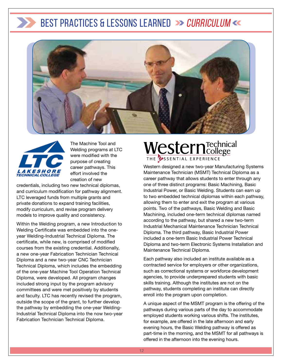



The Machine Tool and Welding programs at LTC were modified with the purpose of creating career pathways. This effort involved the creation of new

credentials, including two new technical diplomas, and curriculum modification for pathway alignment. LTC leveraged funds from multiple grants and private donations to expand training facilities, modify curriculum, and revise program delivery models to improve quality and consistency.

Within the Welding program, a new Introduction to Welding Certificate was embedded into the oneyear Welding-Industrial Technical Diploma. The certificate, while new, is comprised of modified courses from the existing credential. Additionally, a new one-year Fabrication Technician Technical Diploma and a new two-year CNC Technician Technical Diploma, which includes the embedding of the one-year Machine Tool Operation Technical Diploma, were developed. All program changes included strong input by the program advisory committees and were met positively by students and faculty. LTC has recently revised the program, outside the scope of the grant, to further develop the pathway by embedding the one-year Welding-Industrial Technical Diploma into the now two-year Fabrication Technician Technical Diploma.

## Western Technical THE USSENTIAL EXPERIENCE

Western designed a new two-year Manufacturing Systems Maintenance Technician (MSMT) Technical Diploma as a career pathway that allows students to enter through any one of three distinct programs: Basic Machining, Basic Industrial Power, or Basic Welding. Students can earn up to two embedded technical diplomas within each pathway, allowing them to enter and exit the program at various points. Two of the pathways, Basic Welding and Basic Machining, included one-term technical diplomas named according to the pathway, but shared a new two-term Industrial Mechanical Maintenance Technician Technical Diploma. The third pathway, Basic Industrial Power included a one-term Basic Industrial Power Technical Diploma and two-term Electronic Systems Installation and Maintenance Technical Diploma.

Each pathway also included an institute available as a contracted service for employers or other organizations, such as correctional systems or workforce development agencies, to provide underprepared students with basic skills training. Although the institutes are not on the pathway, students completing an institute can directly enroll into the program upon completion.

A unique aspect of the MSMT program is the offering of the pathways during various parts of the day to accommodate employed students working various shifts. The institutes, for example, are offered in the late afternoon and early evening hours, the Basic Welding pathway is offered as part-time in the morning, and the MSMT for all pathways is offered in the afternoon into the evening hours.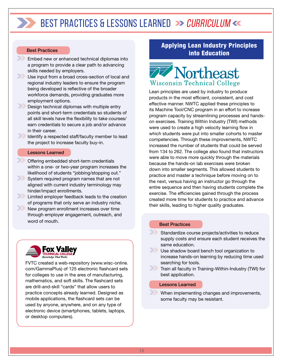#### Best Practices

- Embed new or enhanced technical diplomas into a program to provide a clear path to advancing skills needed by employers.
- $\rightarrow$ Use input from a broad cross-section of local and regional industry leaders to ensure the program being developed is reflective of the broader workforce demands, providing graduates more employment options.
	- Design technical diplomas with multiple entry points and short-term credentials so students of all skill levels have the flexibility to take courses/ earn credentials to secure a job and/or advance in their career.

Identify a respected staff/faculty member to lead the project to increase faculty buy-in.

#### Lessons Learned

- Offering embedded short-term credentials within a one- or two-year program increases the likelihood of students "jobbing/stopping out."
- $\gg$ System required program names that are not aligned with current industry terminology may hinder/impact enrollments.
- **Limited employer feedback leads to the creation** of programs that only serve an industry niche.
- $\sum$ New program enrollment increases over time through employer engagement, outreach, and word of mouth.



FVTC created a web-repository (www.wisc-online. com/GammaPlus) of 125 electronic flashcard sets for colleges to use in the ares of manufacturing, mathematics, and soft skills. The flashcard sets are drill-and-skill "cards" that allow users to practice concepts already learned. Designed as mobile applications, the flashcard sets can be used by anyone, anywhere, and on any type of electronic device (smartphones, tablets, laptops, or desktop computers).

#### Applying Lean Industry Principles into Education



Lean principles are used by industry to produce products in the most efficient, consistent, and cost effective manner. NWTC applied these principles to its Machine Tool/CNC program in an effort to increase program capacity by streamlining processes and handson exercises. Training Within Industry (TWI) methods were used to create a high velocity learning flow in which students were put into smaller cohorts to master competencies. Through these improvements, NWTC increased the number of students that could be served from 134 to 262. The college also found that instructors were able to move more quickly through the materials because the hands-on lab exercises were broken down into smaller segments. This allowed students to practice and master a technique before moving on to the next, versus having an instructor go through the entire sequence and then having students complete the exercise. The efficiencies gained through the process created more time for students to practice and advance their skills, leading to higher quality graduates.

#### Best Practices

- Standardize course projects/activities to reduce supply costs and ensure each student receives the same education.
- Use shadow board bench tool organization to increase hands-on learning by reducing time used searching for tools.
- **Train all faculty in Training-Within-Industry (TWI) for** best application.

#### Lessons Learned

When implementing changes and improvements, some faculty may be resistant.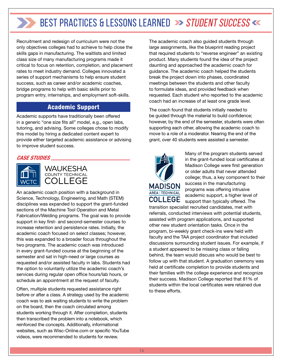Recruitment and redesign of curriculum were not the only objectives colleges had to achieve to help close the skills gaps in manufacturing. The waitlists and limited class size of many manufacturing programs made it critical to focus on retention, completion, and placement rates to meet industry demand. Colleges innovated a series of support mechanisms to help ensure student success, such as career and/or academic coaches, bridge programs to help with basic skills prior to program entry, internships, and employment soft-skills.

#### Academic Support

Academic supports have traditionally been offered in a generic "one size fits all" model, e.g., open labs, tutoring, and advising. Some colleges chose to modify this model by hiring a dedicated content expert to provide either targeted academic assistance or advising to improve student success.

#### *CASE STUDIES*



WAUKESHA COUNTY TECHNICAL **COLLEGE** 

An academic coach position with a background in Science, Technology, Engineering, and Math (STEM) disciplines was expanded to support the grant-funded sections of the Machine Tool Operation and Metal Fabrication/Welding programs. The goal was to provide support in key first- and second-semester courses to increase retention and persistence rates. Initially, the academic coach focused on select classes; however, this was expanded to a broader focus throughout the two programs. The academic coach was introduced in every grant-funded course at the beginning of the semester and sat in high-need or large courses as requested and/or assisted faculty in labs. Students had the option to voluntarily utilize the academic coach's services during regular open office hours/lab hours, or schedule an appointment at the request of faculty.

Often, multiple students requested assistance right before or after a class. A strategy used by the academic coach was to ask waiting students to write the problem on the board, then the coach circulated among students working through it. After completion, students then transcribed the problem into a notebook, which reinforced the concepts. Additionally, informational websites, such as Wisc-Online.com or specific YouTube videos, were recommended to students for review.

The academic coach also guided students through large assignments, like the blueprint reading project that required students to "reverse engineer" an existing product. Many students found the idea of the project daunting and approached the academic coach for guidance. The academic coach helped the students break the project down into phases, coordinated meetings between the students and other faculty to formulate ideas, and provided feedback when requested. Each student who reported to the academic coach had an increase of at least one grade level.

The coach found that students initially needed to be guided through the material to build confidence; however, by the end of the semester, students were often supporting each other, allowing the academic coach to move to a role of a moderator. Nearing the end of the grant, over 40 students were assisted a semester.



Many of the program students served in the grant-funded local certificates at Madison College were first generation or older adults that never attended college; thus, a key component to their success in the manufacturing programs was offering intrusive academic support, a higher level of support than typically offered. The

transition specialist recruited candidates, met with referrals, conducted interviews with potential students, assisted with program applications, and supported other new student orientation tasks. Once in the program, bi-weekly grant check-ins were held with faculty and the TAA project coordinator that included discussions surrounding student issues. For example, if a student appeared to be missing class or falling behind, the team would discuss who would be best to follow up with that student. A graduation ceremony was held at certificate completion to provide students and their families with the college experience and recognize their success. Madison College reported that 81% of students within the local certificates were retained due to these efforts.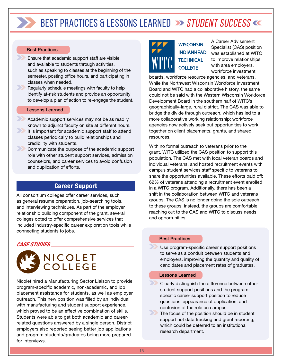#### Best Practices

- Ensure that academic support staff are visible and available to students through activities, such as speaking to classes at the beginning of the semester, posting office hours, and participating in classes when needed.
- $\rightarrow$ Regularly schedule meetings with faculty to help identify at-risk students and provide an opportunity to develop a plan of action to re-engage the student.

#### Lessons Learned

- Academic support services may not be as readily known to adjunct faculty on site at different hours.
- $\boldsymbol{\Sigma}$ It is important for academic support staff to attend classes periodically to build relationships and credibility with students.
- $\sum$ Communicate the purpose of the academic support role with other student support services, admission counselors, and career services to avoid confusion and duplication of efforts.

#### Career Support

All consortium colleges offer career services, such as general resume preparation, job-searching tools, and interviewing techniques. As part of the employer relationship building component of the grant, several colleges opted to offer comprehensive services that included industry-specific career exploration tools while connecting students to jobs.

#### *CASE STUDIES*



Nicolet hired a Manufacturing Sector Liaison to provide program-specific academic, non-academic, and job placement assistance for students, as well as employer outreach. This new position was filled by an individual with manufacturing and student support experience, which proved to be an effective combination of skills. Students were able to get both academic and careerrelated questions answered by a single person. District employers also reported seeing better job applications and program students/graduates being more prepared for interviews.



A Career Advisement Specialist (CAS) position was established at WITC to improve relationships with area employers, workforce investment

boards, workforce resource agencies, and veterans. While the Northwest Wisconsin Workforce Investment Board and WITC had a collaborative history, the same could not be said with the Western Wisconsin Workforce Development Board in the southern half of WITC's geographically-large, rural district. The CAS was able to bridge the divide through outreach, which has led to a more collaborative working relationship; workforce agencies now actively seek out opportunities to work together on client placements, grants, and shared resources.

With no formal outreach to veterans prior to the grant, WITC utilized the CAS position to support this population. The CAS met with local veteran boards and individual veterans, and hosted recruitment events with campus student services staff specific to veterans to share the opportunities available. These efforts paid off: 62% of veterans attending a recruitment event enrolled in a WITC program. Additionally, there has been a shift in the collaboration between WITC and veterans groups. The CAS is no longer doing the sole outreach to these groups; instead, the groups are comfortable reaching out to the CAS and WITC to discuss needs and opportunities.

#### Best Practices

Use program-specific career support positions to serve as a conduit between students and employers, improving the quantity and quality of candidates and placement rates of graduates.

#### Lessons Learned

Clearly distinguish the difference between other student support positions and the programspecific career support position to reduce questions, appearance of duplication, and confusion of the role on campus.

The focus of the position should be in student support not data tracking and grant reporting, which could be deferred to an institutional research department.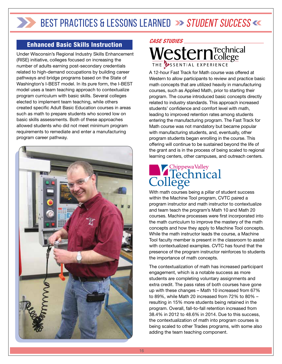#### Enhanced Basic Skills Instruction

Under Wisconsin's Regional Industry Skills Enhancement (RISE) initiative, colleges focused on increasing the number of adults earning post-secondary credentials related to high-demand occupations by building career pathways and bridge programs based on the State of Washington's I-BEST model. In its pure form, the I-BEST model uses a team teaching approach to contextualize program curriculum with basic skills. Several colleges elected to implement team teaching, while others created specific Adult Basic Education courses in areas such as math to prepare students who scored low on basic skills assessments. Both of these approaches allowed students who did not meet minimum program requirements to remediate and enter a manufacturing program career pathway.





A 12-hour Fast Track for Math course was offered at Western to allow participants to review and practice basic math concepts that are utilized heavily in manufacturing courses, such as Applied Math, prior to starting their program. The course introduced basic concepts directly related to industry standards. This approach increased students' confidence and comfort level with math, leading to improved retention rates among students entering the manufacturing program. The Fast Track for Math course was not mandatory but became popular with manufacturing students, and, eventually, other program students began enrolling in the course. This offering will continue to be sustained beyond the life of the grant and is in the process of being scaled to regional learning centers, other campuses, and outreach centers.

# College College

With math courses being a pillar of student success within the Machine Tool program, CVTC paired a program instructor and math instructor to contextualize and team teach the program's Math 10 and Math 20 courses. Machine processes were first incorporated into the math curriculum to improve the mastery of the math concepts and how they apply to Machine Tool concepts. While the math instructor leads the course, a Machine Tool faculty member is present in the classroom to assist with contextualized examples. CVTC has found that the presence of the program instructor reinforces to students the importance of math concepts.

The contextualization of math has increased participant engagement, which is a notable success as more students are completing voluntary assignments and extra credit. The pass rates of both courses have gone up with these changes – Math 10 increased from 67% to 89%, while Math 20 increased from 72% to 80% – resulting in 15% more students being retained in the program. Overall, fall-to-fall retention increased from 38.4% in 2012 to 48.6% in 2014. Due to this success, the contextualization of math into program courses is being scaled to other Trades programs, with some also adding the team teaching component.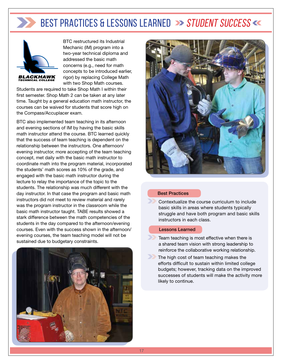

BTC restructured its Industrial Mechanic (IM) program into a two-year technical diploma and addressed the basic math concerns (e.g., need for math concepts to be introduced earlier, rigor) by replacing College Math with two Shop Math courses.

Students are required to take Shop Math I within their first semester. Shop Math 2 can be taken at any later time. Taught by a general education math instructor, the courses can be waived for students that score high on the Compass/Accuplacer exam.

BTC also implemented team teaching in its afternoon and evening sections of IM by having the basic skills math instructor attend the course. BTC learned quickly that the success of team teaching is dependent on the relationship between the instructors. One afternoon/ evening instructor, more accepting of the team teaching concept, met daily with the basic math instructor to coordinate math into the program material, incorporated the students' math scores as 10% of the grade, and engaged with the basic math instructor during the lecture to relay the importance of the topic to the students. The relationship was much different with the day instructor. In that case the program and basic math instructors did not meet to review material and rarely was the program instructor in the classroom while the basic math instructor taught. TABE results showed a stark difference between the math competencies of the students in the day compared to the afternoon/evening courses. Even with the success shown in the afternoon/ evening courses, the team teaching model will not be sustained due to budgetary constraints.





#### Best Practices

Contextualize the course curriculum to include basic skills in areas where students typically struggle and have both program and basic skills instructors in each class.

#### Lessons Learned

- Team teaching is most effective when there is a shared team vision with strong leadership to reinforce the collaborative working relationship.
- The high cost of team teaching makes the efforts difficult to sustain within limited college budgets; however, tracking data on the improved successes of students will make the activity more likely to continue.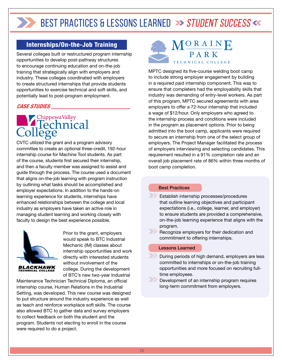#### Internships/On-the-Job Training

Several colleges built or restructured program internship opportunities to develop post-pathway structures to encourage continuing education and on-the-job training that strategically align with employers and industry. These colleges coordinated with employers to create structured internships that provide students opportunities to exercise technical and soft skills, and potentially lead to post-program employment.

#### *CASE STUDIES*

# Chippewa Valley<br>Technical

CVTC utilized the grant and a program advisory committee to create an optional three-credit, 192-hour internship course for Machine Tool students. As part of the course, students first secured their internship, and then a faculty member was assigned to assist and guide through the process. The course used a document that aligns on-the-job learning with program instruction by outlining what tasks should be accomplished and employer expectations. In addition to the hands-on learning experience for students, internships have enhanced relationships between the college and local industry as employers have taken an active role in managing student learning and working closely with faculty to design the best experience possible.



Prior to the grant, employers would speak to BTC Industrial Mechanic (IM) classes about internship opportunities and work directly with interested students without involvement of the college. During the development of BTC's new two-year Industrial

Maintenance Technician Technical Diploma, an official internship course, Human Relations in the Industrial Setting, was developed. This new course was designed to put structure around the industry experience as well as teach and reinforce workplace soft skills. The course also allowed BTC to gather data and survey employers to collect feedback on both the student and the program. Students not electing to enroll in the course were required to do a project.



MPTC designed its five-course welding boot camp to include strong employer engagement by building in a required paid internship component. This was to ensure that completers had the employability skills that industry was demanding of entry-level workers. As part of this program, MPTC secured agreements with area employers to offer a 72-hour internship that included a wage of \$12/hour. Only employers who agreed to the internship process and conditions were included in the program as placement options. Prior to being admitted into the boot camp, applicants were required to secure an internship from one of the select group of employers. The Project Manager facilitated the process of employers interviewing and selecting candidates. This requirement resulted in a 91% completion rate and an overall job placement rate of 86% within three months of boot camp completion.

#### Best Practices

- Establish internship processes/procedures that outline learning objectives and participant expectations (i.e., college, learner, and employer) to ensure students are provided a comprehensive, on-the-job learning experience that aligns with the program.
- Recognize employers for their dedication and commitment to offering internships.

#### Lessons Learned

- During periods of high demand, employers are less committed to internships or on-the-job training opportunities and more focused on recruiting fulltime employees.
- **Development of an internship program requires** long-term commitment from employers.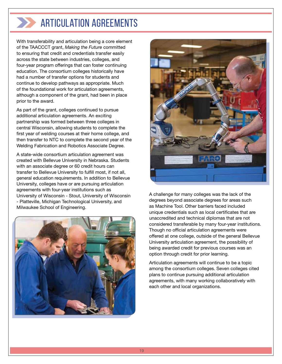## ARTICUI ATION AGREEMENTS

With transferability and articulation being a core element of the TAACCCT grant, *Making the Future* committed to ensuring that credit and credentials transfer easily across the state between industries, colleges, and four-year program offerings that can foster continuing education. The consortium colleges historically have had a number of transfer options for students and continue to develop pathways as appropriate. Much of the foundational work for articulation agreements, although a component of the grant, had been in place prior to the award.

As part of the grant, colleges continued to pursue additional articulation agreements. An exciting partnership was formed between three colleges in central Wisconsin, allowing students to complete the first year of welding courses at their home college, and then transfer to NTC to complete the second year of the Welding Fabrication and Robotics Associate Degree.

A state-wide consortium articulation agreement was created with Bellevue University in Nebraska. Students with an associate degree or 60 credit hours can transfer to Bellevue University to fulfill most, if not all, general education requirements. In addition to Bellevue University, colleges have or are pursuing articulation agreements with four-year institutions such as University of Wisconsin - Stout, University of Wisconsin - Platteville, Michigan Technological University, and Milwaukee School of Engineering.





A challenge for many colleges was the lack of the degrees beyond associate degrees for areas such as Machine Tool. Other barriers faced included unique credentials such as local certificates that are unaccredited and technical diplomas that are not considered transferable by many four-year institutions. Though no official articulation agreements were offered at one college, outside of the general Bellevue University articulation agreement, the possibility of being awarded credit for previous courses was an option through credit for prior learning.

Articulation agreements will continue to be a topic among the consortium colleges. Seven colleges cited plans to continue pursuing additional articulation agreements, with many working collaboratively with each other and local organizations.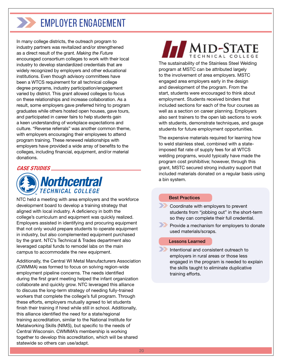## **FMPI OYER ENGAGEMENT**

In many college districts, the outreach program to industry partners was revitalized and/or strengthened as a direct result of the grant. *Making the Future* encouraged consortium colleges to work with their local industry to develop standardized credentials that are widely recognized by employers and other educational institutions. Even though advisory committees have been a WTCS requirement for all technical college degree programs, industry participation/engagement varied by district. This grant allowed colleges to focus on these relationships and increase collaboration. As a result, some employers gave preferred hiring to program graduates while others hosted open houses, gave tours, and participated in career fairs to help students gain a keen understanding of workplace expectations and culture. "Reverse referrals" was another common theme, with employers encouraging their employees to attend program training. These renewed relationships with employers have provided a wide array of benefits to the colleges, including financial, equipment, and/or material donations.

#### *CASE STUDIES*



NTC held a meeting with area employers and the workforce development board to develop a training strategy that aligned with local industry. A deficiency in both the college's curriculum and equipment was quickly realized. Employers assisted in identifying and procuring equipment that not only would prepare students to operate equipment in industry, but also complemented equipment purchased by the grant. NTC's Technical & Trades department also leveraged capital funds to remodel labs on the main campus to accommodate the new equipment.

Additionally, the Central WI Metal Manufacturers Association (CWMMA) was formed to focus on solving region-wide employment pipeline concerns. The needs identified during the first grant meeting helped the infant organization collaborate and quickly grow. NTC leveraged this alliance to discuss the long-term strategy of needing fully-trained workers that complete the college's full program. Through these efforts, employers mutually agreed to let students finish their training if hired while still in school. Additionally, this alliance identified the need for a state/regional training accreditation, similar to the National Institute for Metalworking Skills (NIMS), but specific to the needs of Central Wisconsin. CWMMA's membership is working together to develop this accreditation, which will be shared statewide so others can use/adapt.

## MID-STATE

The sustainability of the Stainless Steel Welding program at MSTC can be attributed largely to the involvement of area employers. MSTC engaged area employers early in the design and development of the program. From the start, students were encouraged to think about employment. Students received binders that included sections for each of the four courses as well as a section on career planning. Employers also sent trainers to the open lab sections to work with students, demonstrate techniques, and gauge students for future employment opportunities.

The expensive materials required for learning how to weld stainless steel, combined with a stateimposed flat rate of supply fees for all WTCS welding programs, would typically have made the program cost prohibitive; however, through this grant, MSTC secured strong industry support that included materials donated on a regular basis using a bin system.

#### Best Practices

**Coordinate with employers to prevent** students from "jobbing out" in the short-term so they can complete their full credential.

**Provide a mechanism for employers to donate** used materials/scraps.

#### Lessons Learned

Intentional and consistent outreach to employers in rural areas or those less engaged in the program is needed to explain the skills taught to eliminate duplicative training efforts.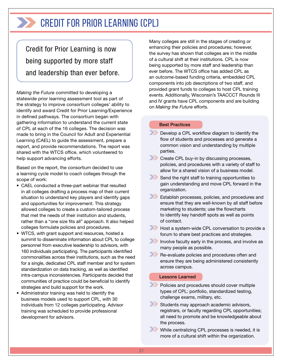## CREDIT FOR PRIOR LEARNING (CPL)

Credit for Prior Learning is now being supported by more staff and leadership than ever before.

*Making the Future* committed to developing a statewide prior learning assessment tool as part of the strategy to improve consortium colleges' ability to identify and award Credit for Prior Learning/Experience in defined pathways. The consortium began with gathering information to understand the current state of CPL at each of the 16 colleges. The decision was made to bring in the Council for Adult and Experiential Learning (CAEL) to guide the assessment, prepare a report, and provide recommendations. The report was shared with the WTCS office, which volunteered to help support advancing efforts.

Based on the report, the consortium decided to use a learning cycle model to coach colleges through the scope of work:

- CAEL conducted a three-part webinar that resulted in all colleges drafting a process map of their current situation to understand key players and identify gaps and opportunities for improvement. This strategy allowed colleges to create a custom-tailored process that met the needs of their institution and students, rather than a "one size fits all" approach. It also helped colleges formulate policies and procedures.
- WTCS, with grant support and resources, hosted a summit to disseminate information about CPL to college personnel from executive leadership to advisors, with 160 individuals participating. The participants identified commonalities across their institutions, such as the need for a single, dedicated CPL staff member and for system standardization on data tracking, as well as identified intra-campus inconsistencies. Participants decided that communities of practice could be beneficial to identify strategies and build support for the work.
- Administrator training was held to identify the business models used to support CPL, with 30 individuals from 12 colleges participating. Advisor training was scheduled to provide professional development for advisors.

Many colleges are still in the stages of creating or enhancing their policies and procedures; however, the survey has shown that colleges are in the middle of a cultural shift at their institutions. CPL is now being supported by more staff and leadership than ever before. The WTCS office has added CPL as an outcome-based funding criteria, embedded CPL components into job descriptions of two staff, and provided grant funds to colleges to host CPL training events. Additionally, Wisconsin's TAACCCT Rounds III and IV grants have CPL components and are building on *Making the Future* efforts.

#### Best Practices

- **Develop a CPL workflow diagram to identify the** flow of students and processes and generate a common vision and understanding by multiple parties.
- **Create CPL buy-in by discussing processes,** policies, and procedures with a variety of staff to allow for a shared vision of a business model.
- Send the right staff to training opportunities to gain understanding and move CPL forward in the organization.
- **Establish processes, policies, and procedures and** ensure that they are well-known by all staff before marketing to students; use the flowcharts to identify key handoff spots as well as points of contact.
- **Host a system-wide CPL conversation to provide a** forum to share best practices and strategies.
- Involve faculty early in the process, and involve as many people as possible.
- **Re-evaluate policies and procedures often and** ensure they are being administered consistently across campus.

#### Lessons Learned

Policies and procedures should cover multiple types of CPL: portfolio, standardized testing, challenge exams, military, etc.

Students may approach academic advisors, registrars, or faculty regarding CPL opportunities; all need to promote and be knowledgeable about the process.

While centralizing CPL processes is needed, it is more of a cultural shift within the organization.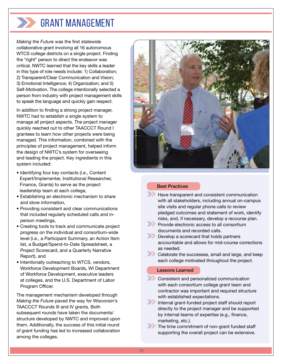## Grant Management

*Making the Future* was the first statewide collaborative grant involving all 16 autonomous WTCS college districts on a single project. Finding the "right" person to direct the endeavor was critical. NWTC learned that the key skills a leader in this type of role needs include: 1) Collaboration; 2) Transparent/Clear Communication and Vision; 3) Emotional Intelligence; 4) Organization; and 5) Self-Motivation. The college intentionally selected a person from industry with project management skills to speak the language and quickly gain respect.

In addition to finding a strong project manager, NWTC had to establish a single system to manage all project aspects. The project manager quickly reached out to other TAACCCT Round I grantees to learn how other projects were being managed. This information, combined with the principles of project management, helped inform the design of NWTC's system for overseeing and leading the project. Key ingredients in this system included:

- Identifying four key contacts (i.e., Content Expert/Implementer, Institutional Researcher, Finance, Grants) to serve as the project leadership team at each college,
- Establishing an electronic mechanism to share and store information,
- Providing consistent and clear communications that included regularly scheduled calls and inperson meetings,
- Creating tools to track and communicate project progress on the individual and consortium-wide level (i.e., a Participant Summary, an Action Item list, a Budget/Spend-to-Date Spreadsheet, a Project Scorecard, and a Quarterly Narrative Report), and
- Intentionally outreaching to WTCS, vendors, Workforce Development Boards, WI Department of Workforce Development, executive leaders at colleges, and the U.S. Department of Labor Program Officer.

The management mechanism developed through *Making the Future* paved the way for Wisconsin's TAACCCT Rounds III and IV grants. Both subsequent rounds have taken the documents/ structure developed by NWTC and improved upon them. Additionally, the success of this initial round of grant funding has led to increased collaboration among the colleges.



#### Best Practices

- Have transparent and consistent communication with all stakeholders, including annual on-campus site visits and regular phone calls to review pledged outcomes and statement of work, identify risks, and, if necessary, develop a recourse plan.
- **Provide electronic access to all consortium** documents and recorded calls.

**Develop a scorecard that holds partners** accountable and allows for mid-course corrections as needed.

**Celebrate the successes, small and large, and keep** each college motivated throughout the project.

#### Lessons Learned

- **Consistent and personalized communication** with each consortium college grant team and contractor was important and required structure with established expectations.
- Internal grant-funded project staff should report directly to the project manager and be supported by internal teams of expertise (e.g., finance, marketing, etc.).
- The time commitment of non-grant funded staff supporting the overall project can be extensive.